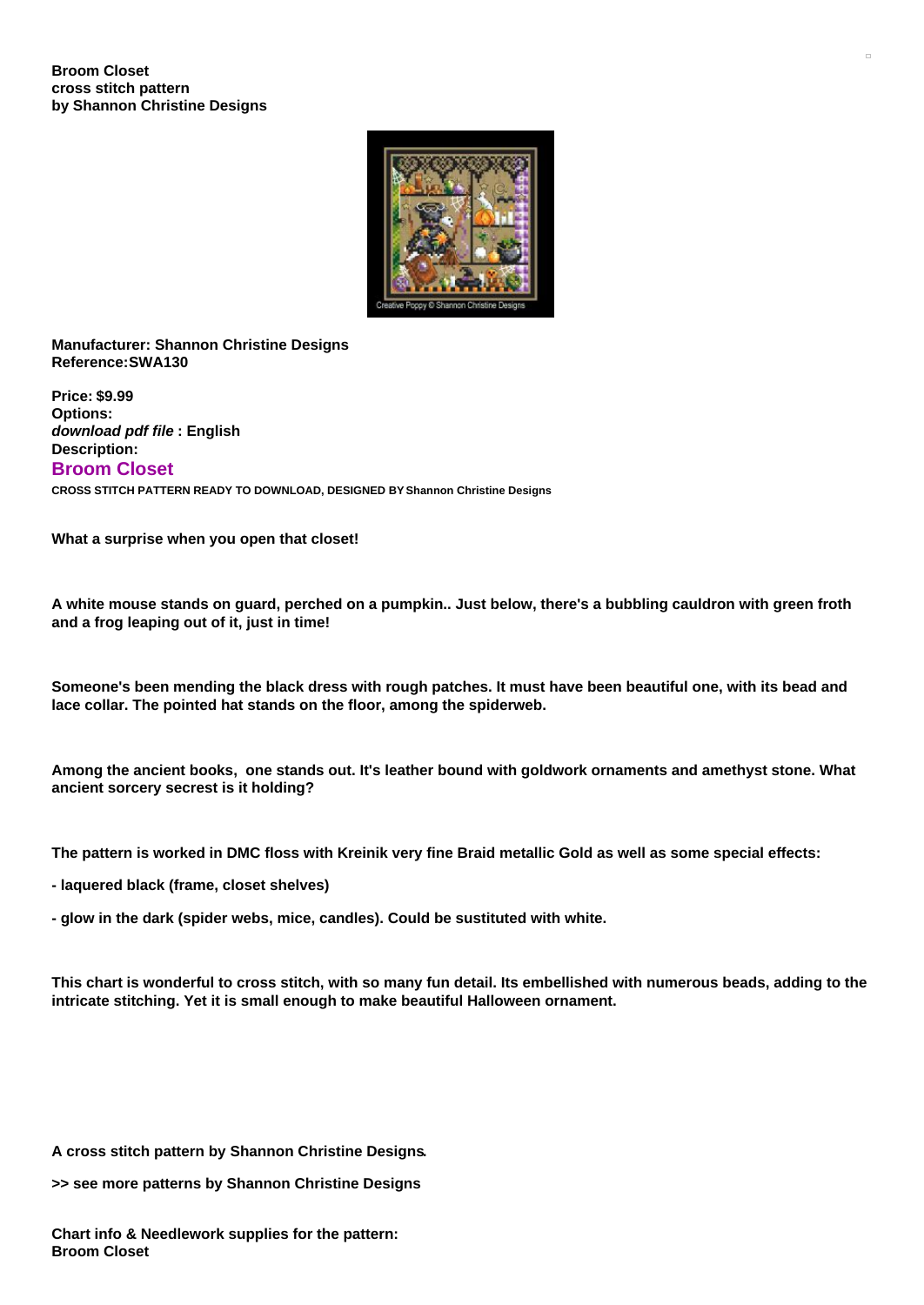

**Manufacturer: Shannon Christine Designs Reference:SWA130**

**Price: \$9.99 Options:** *download pdf file* **: English Description: Broom Closet CROSS STITCH PATTERN READY TO DOWNLOAD, DESIGNED BY Shannon Christine Designs**

**What a surprise when you open that closet!**

A white mouse stands on guard, perched on a pumpkin.. Just below, there's a bubbling cauldron with green froth **and a frog leaping out of it, just in time!**

Someone's been mending the black dress with rough patches. It must have been beautiful one, with its bead and **lace collar. The pointed hat stands on the floor, among the spiderweb.**

Among the ancient books, one stands out. It's leather bound with goldwork ornaments and amethyst stone. What **ancient sorcery secrest is it holding?**

The pattern is worked in DMC floss with Kreinik very fine Braid metallic Gold as well as some special effects:

- **- laquered black (frame, closet shelves)**
- **- glow in the dark (spider webs, mice, candles). Could be sustituted with white.**

This chart is wonderful to cross stitch, with so many fun detail. Its embellished with numerous beads, adding to the **intricate stitching. Yet it is small enough to make beautiful Halloween ornament.**

**A cross stitch pattern by Shannon Christine Designs.**

**>> see more patterns by Shannon Christine Designs**

**Chart info & Needlework supplies for the pattern: Broom Closet**